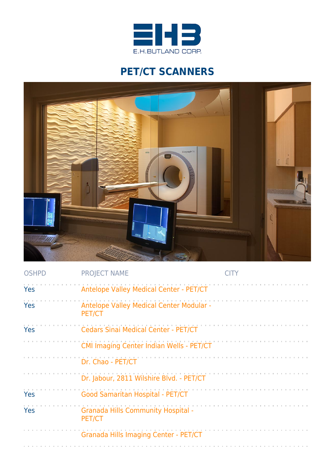

## **PET/CT SCANNERS**



| <b>OSHPD</b> | <b>PROJECT NAME</b>                                 | CITY |
|--------------|-----------------------------------------------------|------|
| Yes          | Antelope Valley Medical Center - PET/CT             |      |
| Yes          | Antelope Valley Medical Center Modular -<br>PET/CT  |      |
| Yes          | <b>Cedars Sinai Medical Center - PET/CT</b>         |      |
|              | <b>CMI Imaging Center Indian Wells - PET/CT</b>     |      |
|              | Dr. Chao - PET/CT                                   |      |
|              | Dr. Jabour, 2811 Wilshire Blvd. - PET/CT            |      |
| Yes          | Good Samaritan Hospital - PET/CT                    |      |
| Yes          | <b>Granada Hills Community Hospital -</b><br>PET/CT |      |
|              | Granada Hills Imaging Center - PET/CT               |      |
|              |                                                     |      |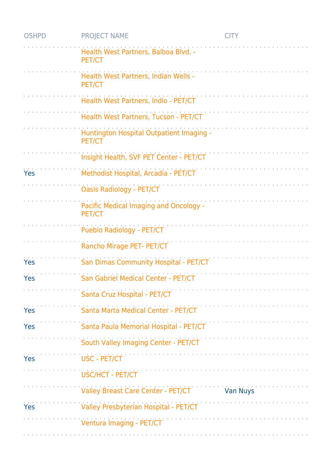| <b>OSHPD</b> | <b>PROJECT NAME</b>                                | <b>CITY</b>     |
|--------------|----------------------------------------------------|-----------------|
|              | Health West Partners, Balboa Blvd. -<br>PET/CT     |                 |
|              | Health West Partners, Indian Wells -<br>PET/CT     |                 |
|              | Health West Partners, Indio - PET/CT               |                 |
|              | Health West Partners, Tucson - PET/CT              |                 |
|              | Huntington Hospital Outpatient Imaging -<br>PET/CT |                 |
|              | Insight Health, SVF PET Center - PET/CT            |                 |
| Yes          | Methodist Hospital, Arcadia - PET/CT               |                 |
|              | <b>Oasis Radiology - PET/CT</b>                    |                 |
|              | Pacific Medical Imaging and Oncology -<br>PET/CT   |                 |
|              | Pueblo Radiology - PET/CT                          |                 |
|              | Rancho Mirage PET- PET/CT                          |                 |
| Yes          | San Dimas Community Hospital - PET/CT              |                 |
| Yes          | San Gabriel Medical Center - PET/CT                |                 |
|              | Santa Cruz Hospital - PET/CT                       |                 |
| Yes          | Santa Marta Medical Center - PET/CT                |                 |
| Yes          | Santa Paula Memorial Hospital - PET/CT             |                 |
|              | South Valley Imaging Center - PET/CT               |                 |
| Yes          | <b>USC - PET/CT</b>                                |                 |
|              | <b>USC/HCT - PET/CT</b>                            |                 |
|              | Valley Breast Care Center - PET/CT                 | <b>Van Nuys</b> |
| Yes          | Valley Presbyterian Hospital - PET/CT              |                 |
|              | Ventura Imaging - PET/CT                           |                 |
|              |                                                    |                 |